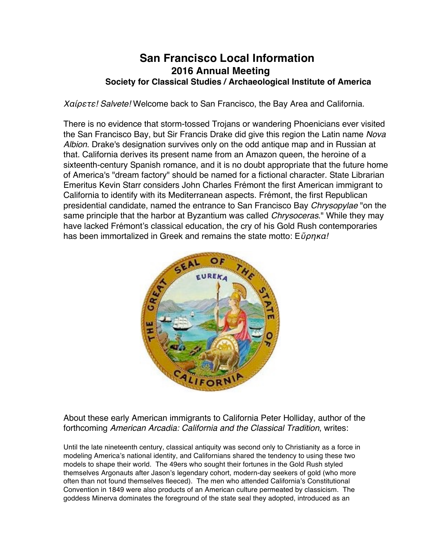# **San Francisco Local Information 2016 Annual Meeting Society for Classical Studies / Archaeological Institute of America**

Χαίρετε*! Salvete!* Welcome back to San Francisco, the Bay Area and California.

There is no evidence that storm-tossed Trojans or wandering Phoenicians ever visited the San Francisco Bay, but Sir Francis Drake did give this region the Latin name *Nova Albion*. Drake's designation survives only on the odd antique map and in Russian at that. California derives its present name from an Amazon queen, the heroine of a sixteenth-century Spanish romance, and it is no doubt appropriate that the future home of America's "dream factory" should be named for a fictional character. State Librarian Emeritus Kevin Starr considers John Charles Frémont the first American immigrant to California to identify with its Mediterranean aspects. Frémont, the first Republican presidential candidate, named the entrance to San Francisco Bay *Chrysopylae* "on the same principle that the harbor at Byzantium was called *Chrysoceras*." While they may have lacked Frémont's classical education, the cry of his Gold Rush contemporaries has been immortalized in Greek and remains the state motto: Εὕρηκα*!*



About these early American immigrants to California Peter Holliday, author of the forthcoming *American Arcadia: California and the Classical Tradition*, writes:

Until the late nineteenth century, classical antiquity was second only to Christianity as a force in modeling America's national identity, and Californians shared the tendency to using these two models to shape their world. The 49ers who sought their fortunes in the Gold Rush styled themselves Argonauts after Jason's legendary cohort, modern-day seekers of gold (who more often than not found themselves fleeced). The men who attended California's Constitutional Convention in 1849 were also products of an American culture permeated by classicism. The goddess Minerva dominates the foreground of the state seal they adopted, introduced as an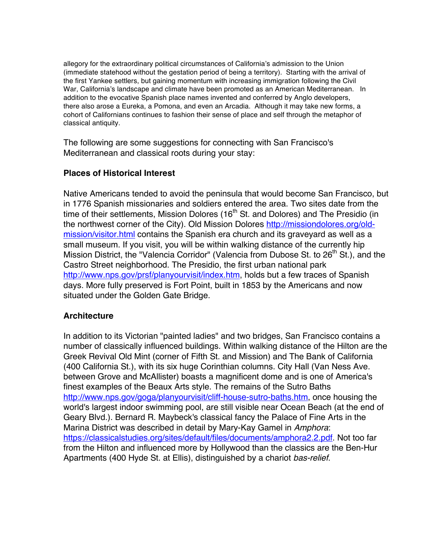allegory for the extraordinary political circumstances of California's admission to the Union (immediate statehood without the gestation period of being a territory). Starting with the arrival of the first Yankee settlers, but gaining momentum with increasing immigration following the Civil War, California's landscape and climate have been promoted as an American Mediterranean. In addition to the evocative Spanish place names invented and conferred by Anglo developers, there also arose a Eureka, a Pomona, and even an Arcadia. Although it may take new forms, a cohort of Californians continues to fashion their sense of place and self through the metaphor of classical antiquity.

The following are some suggestions for connecting with San Francisco's Mediterranean and classical roots during your stay:

# **Places of Historical Interest**

Native Americans tended to avoid the peninsula that would become San Francisco, but in 1776 Spanish missionaries and soldiers entered the area. Two sites date from the time of their settlements, Mission Dolores (16<sup>th</sup> St. and Dolores) and The Presidio (in the northwest corner of the City). Old Mission Dolores http://missiondolores.org/oldmission/visitor.html contains the Spanish era church and its graveyard as well as a small museum. If you visit, you will be within walking distance of the currently hip Mission District, the "Valencia Corridor" (Valencia from Dubose St. to  $26<sup>th</sup>$  St.), and the Castro Street neighborhood. The Presidio, the first urban national park http://www.nps.gov/prsf/planyourvisit/index.htm, holds but a few traces of Spanish days. More fully preserved is Fort Point, built in 1853 by the Americans and now situated under the Golden Gate Bridge.

## **Architecture**

In addition to its Victorian "painted ladies" and two bridges, San Francisco contains a number of classically influenced buildings. Within walking distance of the Hilton are the Greek Revival Old Mint (corner of Fifth St. and Mission) and The Bank of California (400 California St.), with its six huge Corinthian columns. City Hall (Van Ness Ave. between Grove and McAllister) boasts a magnificent dome and is one of America's finest examples of the Beaux Arts style. The remains of the Sutro Baths http://www.nps.gov/goga/planyourvisit/cliff-house-sutro-baths.htm, once housing the world's largest indoor swimming pool, are still visible near Ocean Beach (at the end of Geary Blvd.). Bernard R. Maybeck's classical fancy the Palace of Fine Arts in the Marina District was described in detail by Mary-Kay Gamel in *Amphora*: https://classicalstudies.org/sites/default/files/documents/amphora2.2.pdf. Not too far from the Hilton and influenced more by Hollywood than the classics are the Ben-Hur Apartments (400 Hyde St. at Ellis), distinguished by a chariot *bas-relief*.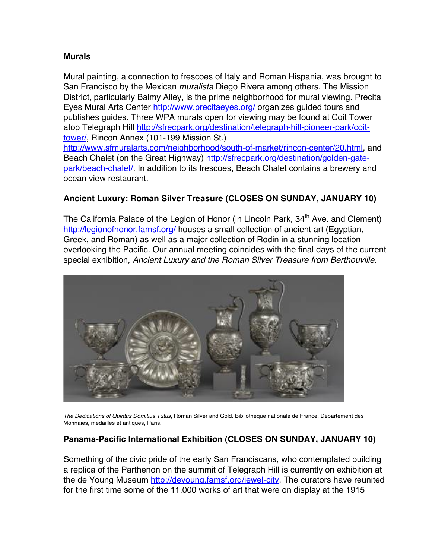## **Murals**

Mural painting, a connection to frescoes of Italy and Roman Hispania, was brought to San Francisco by the Mexican *muralista* Diego Rivera among others. The Mission District, particularly Balmy Alley, is the prime neighborhood for mural viewing. Precita Eyes Mural Arts Center http://www.precitaeyes.org/ organizes guided tours and publishes guides. Three WPA murals open for viewing may be found at Coit Tower atop Telegraph Hill http://sfrecpark.org/destination/telegraph-hill-pioneer-park/coittower/, Rincon Annex (101-199 Mission St.)

http://www.sfmuralarts.com/neighborhood/south-of-market/rincon-center/20.html, and Beach Chalet (on the Great Highway) http://sfrecpark.org/destination/golden-gatepark/beach-chalet/. In addition to its frescoes, Beach Chalet contains a brewery and ocean view restaurant.

# **Ancient Luxury: Roman Silver Treasure (CLOSES ON SUNDAY, JANUARY 10)**

The California Palace of the Legion of Honor (in Lincoln Park, 34<sup>th</sup> Ave. and Clement) http://legionofhonor.famsf.org/ houses a small collection of ancient art (Egyptian, Greek, and Roman) as well as a major collection of Rodin in a stunning location overlooking the Pacific. Our annual meeting coincides with the final days of the current special exhibition, *Ancient Luxury and the Roman Silver Treasure from Berthouville*.



*The Dedications of Quintus Domitius Tutus*, Roman Silver and Gold. Bibliothèque nationale de France, Département des Monnaies, médailles et antiques, Paris.

# **Panama-Pacific International Exhibition (CLOSES ON SUNDAY, JANUARY 10)**

Something of the civic pride of the early San Franciscans, who contemplated building a replica of the Parthenon on the summit of Telegraph Hill is currently on exhibition at the de Young Museum http://deyoung.famsf.org/jewel-city. The curators have reunited for the first time some of the 11,000 works of art that were on display at the 1915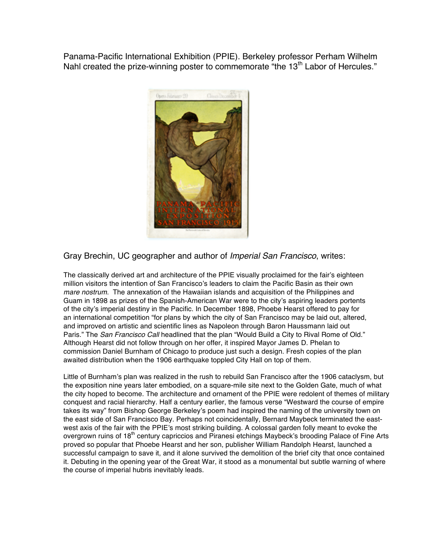Panama-Pacific International Exhibition (PPIE). Berkeley professor Perham Wilhelm Nahl created the prize-winning poster to commemorate "the 13<sup>th</sup> Labor of Hercules."



Gray Brechin, UC geographer and author of *Imperial San Francisco*, writes:

The classically derived art and architecture of the PPIE visually proclaimed for the fair's eighteen million visitors the intention of San Francisco's leaders to claim the Pacific Basin as their own *mare nostrum*. The annexation of the Hawaiian islands and acquisition of the Philippines and Guam in 1898 as prizes of the Spanish-American War were to the city's aspiring leaders portents of the city's imperial destiny in the Pacific. In December 1898, Phoebe Hearst offered to pay for an international competition "for plans by which the city of San Francisco may be laid out, altered, and improved on artistic and scientific lines as Napoleon through Baron Haussmann laid out Paris." The *San Francisco Call* headlined that the plan "Would Build a City to Rival Rome of Old." Although Hearst did not follow through on her offer, it inspired Mayor James D. Phelan to commission Daniel Burnham of Chicago to produce just such a design. Fresh copies of the plan awaited distribution when the 1906 earthquake toppled City Hall on top of them.

Little of Burnham's plan was realized in the rush to rebuild San Francisco after the 1906 cataclysm, but the exposition nine years later embodied, on a square-mile site next to the Golden Gate, much of what the city hoped to become. The architecture and ornament of the PPIE were redolent of themes of military conquest and racial hierarchy. Half a century earlier, the famous verse "Westward the course of empire takes its way" from Bishop George Berkeley's poem had inspired the naming of the university town on the east side of San Francisco Bay. Perhaps not coincidentally, Bernard Maybeck terminated the eastwest axis of the fair with the PPIE's most striking building. A colossal garden folly meant to evoke the overgrown ruins of 18<sup>th</sup> century capriccios and Piranesi etchings Maybeck's brooding Palace of Fine Arts proved so popular that Phoebe Hearst and her son, publisher William Randolph Hearst, launched a successful campaign to save it, and it alone survived the demolition of the brief city that once contained it. Debuting in the opening year of the Great War, it stood as a monumental but subtle warning of where the course of imperial hubris inevitably leads.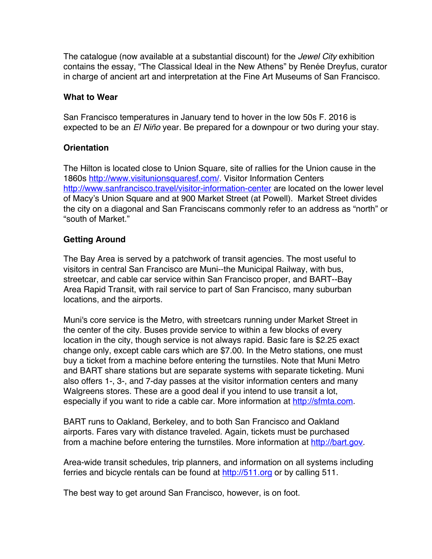The catalogue (now available at a substantial discount) for the *Jewel City* exhibition contains the essay, "The Classical Ideal in the New Athens" by Renée Dreyfus, curator in charge of ancient art and interpretation at the Fine Art Museums of San Francisco.

## **What to Wear**

San Francisco temperatures in January tend to hover in the low 50s F. 2016 is expected to be an *El Niño* year. Be prepared for a downpour or two during your stay.

## **Orientation**

The Hilton is located close to Union Square, site of rallies for the Union cause in the 1860s http://www.visitunionsquaresf.com/. Visitor Information Centers http://www.sanfrancisco.travel/visitor-information-center are located on the lower level of Macy's Union Square and at 900 Market Street (at Powell). Market Street divides the city on a diagonal and San Franciscans commonly refer to an address as "north" or "south of Market."

## **Getting Around**

The Bay Area is served by a patchwork of transit agencies. The most useful to visitors in central San Francisco are Muni--the Municipal Railway, with bus, streetcar, and cable car service within San Francisco proper, and BART--Bay Area Rapid Transit, with rail service to part of San Francisco, many suburban locations, and the airports.

Muni's core service is the Metro, with streetcars running under Market Street in the center of the city. Buses provide service to within a few blocks of every location in the city, though service is not always rapid. Basic fare is \$2.25 exact change only, except cable cars which are \$7.00. In the Metro stations, one must buy a ticket from a machine before entering the turnstiles. Note that Muni Metro and BART share stations but are separate systems with separate ticketing. Muni also offers 1-, 3-, and 7-day passes at the visitor information centers and many Walgreens stores. These are a good deal if you intend to use transit a lot, especially if you want to ride a cable car. More information at http://sfmta.com.

BART runs to Oakland, Berkeley, and to both San Francisco and Oakland airports. Fares vary with distance traveled. Again, tickets must be purchased from a machine before entering the turnstiles. More information at http://bart.gov.

Area-wide transit schedules, trip planners, and information on all systems including ferries and bicycle rentals can be found at http://511.org or by calling 511.

The best way to get around San Francisco, however, is on foot.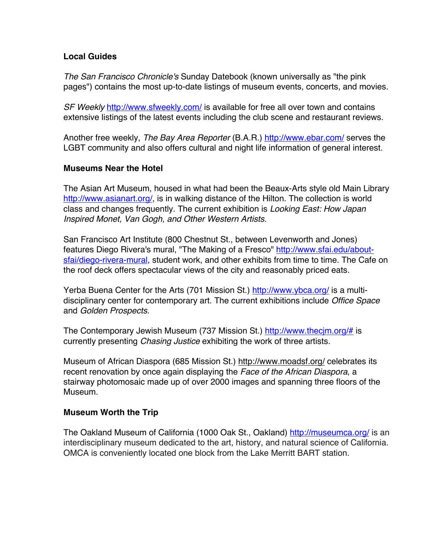## **Local Guides**

*The San Francisco Chronicle's* Sunday Datebook (known universally as "the pink pages") contains the most up-to-date listings of museum events, concerts, and movies.

*SF Weekly* http://www.sfweekly.com/ is available for free all over town and contains extensive listings of the latest events including the club scene and restaurant reviews.

Another free weekly, *The Bay Area Reporter* (B.A.R.) http://www.ebar.com/ serves the LGBT community and also offers cultural and night life information of general interest.

# **Museums Near the Hotel**

The Asian Art Museum, housed in what had been the Beaux-Arts style old Main Library http://www.asianart.org/, is in walking distance of the Hilton. The collection is world class and changes frequently. The current exhibition is *Looking East: How Japan Inspired Monet, Van Gogh, and Other Western Artists*.

San Francisco Art Institute (800 Chestnut St., between Levenworth and Jones) features Diego Rivera's mural, "The Making of a Fresco" http://www.sfai.edu/aboutsfai/diego-rivera-mural, student work, and other exhibits from time to time. The Cafe on the roof deck offers spectacular views of the city and reasonably priced eats.

Yerba Buena Center for the Arts (701 Mission St.) http://www.ybca.org/ is a multidisciplinary center for contemporary art. The current exhibitions include *Office Space* and *Golden Prospects*.

The Contemporary Jewish Museum (737 Mission St.) http://www.thecjm.org/# is currently presenting *Chasing Justice* exhibiting the work of three artists.

Museum of African Diaspora (685 Mission St.) http://www.moadsf.org/ celebrates its recent renovation by once again displaying the *Face of the African Diaspora*, a stairway photomosaic made up of over 2000 images and spanning three floors of the Museum.

## **Museum Worth the Trip**

The Oakland Museum of California (1000 Oak St., Oakland) http://museumca.org/ is an interdisciplinary museum dedicated to the art, history, and natural science of California. OMCA is conveniently located one block from the Lake Merritt BART station.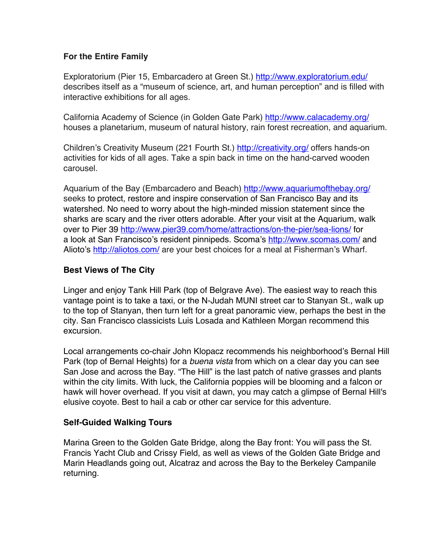# **For the Entire Family**

Exploratorium (Pier 15, Embarcadero at Green St.) http://www.exploratorium.edu/ describes itself as a "museum of science, art, and human perception" and is filled with interactive exhibitions for all ages.

California Academy of Science (in Golden Gate Park) http://www.calacademy.org/ houses a planetarium, museum of natural history, rain forest recreation, and aquarium.

Children's Creativity Museum (221 Fourth St.) http://creativity.org/ offers hands-on activities for kids of all ages. Take a spin back in time on the hand-carved wooden carousel.

Aquarium of the Bay (Embarcadero and Beach) http://www.aquariumofthebay.org/ seeks to protect, restore and inspire conservation of San Francisco Bay and its watershed. No need to worry about the high-minded mission statement since the sharks are scary and the river otters adorable. After your visit at the Aquarium, walk over to Pier 39 http://www.pier39.com/home/attractions/on-the-pier/sea-lions/ for a look at San Francisco's resident pinnipeds. Scoma's http://www.scomas.com/ and Alioto's http://aliotos.com/ are your best choices for a meal at Fisherman's Wharf.

# **Best Views of The City**

Linger and enjoy Tank Hill Park (top of Belgrave Ave). The easiest way to reach this vantage point is to take a taxi, or the N-Judah MUNI street car to Stanyan St., walk up to the top of Stanyan, then turn left for a great panoramic view, perhaps the best in the city. San Francisco classicists Luis Losada and Kathleen Morgan recommend this excursion.

Local arrangements co-chair John Klopacz recommends his neighborhood's Bernal Hill Park (top of Bernal Heights) for a *buena vista* from which on a clear day you can see San Jose and across the Bay. "The Hill" is the last patch of native grasses and plants within the city limits. With luck, the California poppies will be blooming and a falcon or hawk will hover overhead. If you visit at dawn, you may catch a glimpse of Bernal Hill's elusive coyote. Best to hail a cab or other car service for this adventure.

## **Self-Guided Walking Tours**

Marina Green to the Golden Gate Bridge, along the Bay front: You will pass the St. Francis Yacht Club and Crissy Field, as well as views of the Golden Gate Bridge and Marin Headlands going out, Alcatraz and across the Bay to the Berkeley Campanile returning.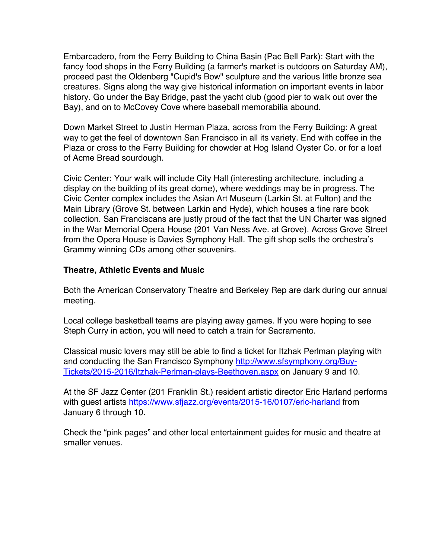Embarcadero, from the Ferry Building to China Basin (Pac Bell Park): Start with the fancy food shops in the Ferry Building (a farmer's market is outdoors on Saturday AM), proceed past the Oldenberg "Cupid's Bow" sculpture and the various little bronze sea creatures. Signs along the way give historical information on important events in labor history. Go under the Bay Bridge, past the yacht club (good pier to walk out over the Bay), and on to McCovey Cove where baseball memorabilia abound.

Down Market Street to Justin Herman Plaza, across from the Ferry Building: A great way to get the feel of downtown San Francisco in all its variety. End with coffee in the Plaza or cross to the Ferry Building for chowder at Hog Island Oyster Co. or for a loaf of Acme Bread sourdough.

Civic Center: Your walk will include City Hall (interesting architecture, including a display on the building of its great dome), where weddings may be in progress. The Civic Center complex includes the Asian Art Museum (Larkin St. at Fulton) and the Main Library (Grove St. between Larkin and Hyde), which houses a fine rare book collection. San Franciscans are justly proud of the fact that the UN Charter was signed in the War Memorial Opera House (201 Van Ness Ave. at Grove). Across Grove Street from the Opera House is Davies Symphony Hall. The gift shop sells the orchestra's Grammy winning CDs among other souvenirs.

# **Theatre, Athletic Events and Music**

Both the American Conservatory Theatre and Berkeley Rep are dark during our annual meeting.

Local college basketball teams are playing away games. If you were hoping to see Steph Curry in action, you will need to catch a train for Sacramento.

Classical music lovers may still be able to find a ticket for Itzhak Perlman playing with and conducting the San Francisco Symphony http://www.sfsymphony.org/Buy-Tickets/2015-2016/Itzhak-Perlman-plays-Beethoven.aspx on January 9 and 10.

At the SF Jazz Center (201 Franklin St.) resident artistic director Eric Harland performs with quest artists https://www.sfjazz.org/events/2015-16/0107/eric-harland from January 6 through 10.

Check the "pink pages" and other local entertainment guides for music and theatre at smaller venues.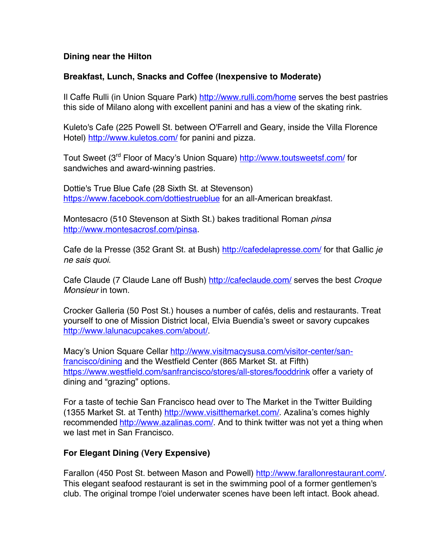## **Dining near the Hilton**

## **Breakfast, Lunch, Snacks and Coffee (Inexpensive to Moderate)**

Il Caffe Rulli (in Union Square Park) http://www.rulli.com/home serves the best pastries this side of Milano along with excellent panini and has a view of the skating rink.

Kuleto's Cafe (225 Powell St. between O'Farrell and Geary, inside the Villa Florence Hotel) http://www.kuletos.com/ for panini and pizza.

Tout Sweet (3<sup>rd</sup> Floor of Macy's Union Square) http://www.toutsweetsf.com/ for sandwiches and award-winning pastries.

Dottie's True Blue Cafe (28 Sixth St. at Stevenson) https://www.facebook.com/dottiestrueblue for an all-American breakfast.

Montesacro (510 Stevenson at Sixth St.) bakes traditional Roman *pinsa* http://www.montesacrosf.com/pinsa.

Cafe de la Presse (352 Grant St. at Bush) http://cafedelapresse.com/ for that Gallic *je ne sais quoi*.

Cafe Claude (7 Claude Lane off Bush) http://cafeclaude.com/ serves the best *Croque Monsieur* in town.

Crocker Galleria (50 Post St.) houses a number of cafés, delis and restaurants. Treat yourself to one of Mission District local, Elvia Buendia's sweet or savory cupcakes http://www.lalunacupcakes.com/about/.

Macy's Union Square Cellar http://www.visitmacysusa.com/visitor-center/sanfrancisco/dining and the Westfield Center (865 Market St. at Fifth) https://www.westfield.com/sanfrancisco/stores/all-stores/fooddrink offer a variety of dining and "grazing" options.

For a taste of techie San Francisco head over to The Market in the Twitter Building (1355 Market St. at Tenth) http://www.visitthemarket.com/. Azalina's comes highly recommended http://www.azalinas.com/. And to think twitter was not yet a thing when we last met in San Francisco.

# **For Elegant Dining (Very Expensive)**

Farallon (450 Post St. between Mason and Powell) http://www.farallonrestaurant.com/. This elegant seafood restaurant is set in the swimming pool of a former gentlemen's club. The original trompe l'oiel underwater scenes have been left intact. Book ahead.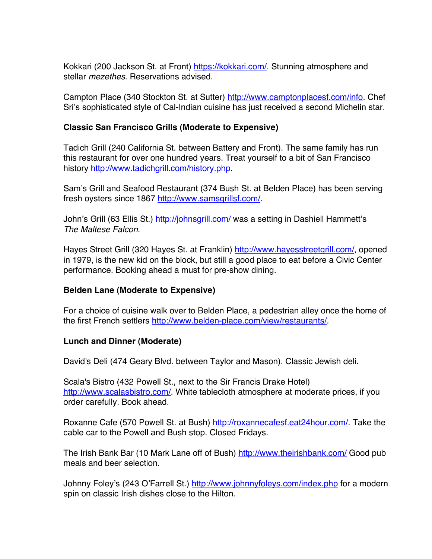Kokkari (200 Jackson St. at Front) https://kokkari.com/. Stunning atmosphere and stellar *mezethes*. Reservations advised.

Campton Place (340 Stockton St. at Sutter) http://www.camptonplacesf.com/info. Chef Sri's sophisticated style of Cal-Indian cuisine has just received a second Michelin star.

# **Classic San Francisco Grills (Moderate to Expensive)**

Tadich Grill (240 California St. between Battery and Front). The same family has run this restaurant for over one hundred years. Treat yourself to a bit of San Francisco history http://www.tadichgrill.com/history.php.

Sam's Grill and Seafood Restaurant (374 Bush St. at Belden Place) has been serving fresh oysters since 1867 http://www.samsgrillsf.com/.

John's Grill (63 Ellis St.) http://johnsgrill.com/ was a setting in Dashiell Hammett's *The Maltese Falcon*.

Hayes Street Grill (320 Hayes St. at Franklin) http://www.hayesstreetgrill.com/, opened in 1979, is the new kid on the block, but still a good place to eat before a Civic Center performance. Booking ahead a must for pre-show dining.

## **Belden Lane (Moderate to Expensive)**

For a choice of cuisine walk over to Belden Place, a pedestrian alley once the home of the first French settlers http://www.belden-place.com/view/restaurants/

## **Lunch and Dinner (Moderate)**

David's Deli (474 Geary Blvd. between Taylor and Mason). Classic Jewish deli.

Scala's Bistro (432 Powell St., next to the Sir Francis Drake Hotel) http://www.scalasbistro.com/. White tablecloth atmosphere at moderate prices, if you order carefully. Book ahead.

Roxanne Cafe (570 Powell St. at Bush) http://roxannecafesf.eat24hour.com/. Take the cable car to the Powell and Bush stop. Closed Fridays.

The Irish Bank Bar (10 Mark Lane off of Bush) http://www.theirishbank.com/ Good pub meals and beer selection.

Johnny Foley's (243 O'Farrell St.) http://www.johnnyfoleys.com/index.php for a modern spin on classic Irish dishes close to the Hilton.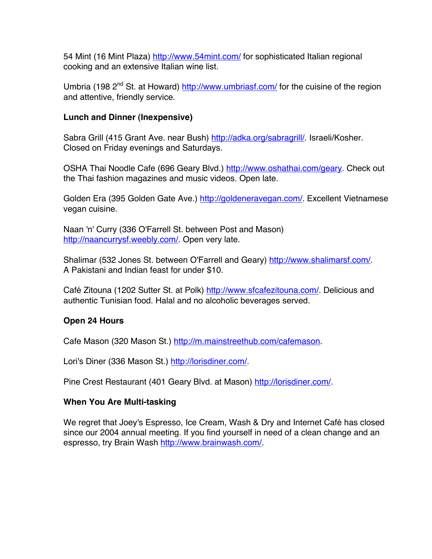54 Mint (16 Mint Plaza) http://www.54mint.com/ for sophisticated Italian regional cooking and an extensive Italian wine list.

Umbria (198 2<sup>nd</sup> St. at Howard) http://www.umbriasf.com/ for the cuisine of the region and attentive, friendly service.

## **Lunch and Dinner (Inexpensive)**

Sabra Grill (415 Grant Ave. near Bush) http://adka.org/sabragrill/. Israeli/Kosher. Closed on Friday evenings and Saturdays.

OSHA Thai Noodle Cafe (696 Geary Blvd.) http://www.oshathai.com/geary. Check out the Thai fashion magazines and music videos. Open late.

Golden Era (395 Golden Gate Ave.) http://goldeneravegan.com/. Excellent Vietnamese vegan cuisine.

Naan 'n' Curry (336 O'Farrell St. between Post and Mason) http://naancurrysf.weebly.com/. Open very late.

Shalimar (532 Jones St. between O'Farrell and Geary) http://www.shalimarsf.com/. A Pakistani and Indian feast for under \$10.

Café Zitouna (1202 Sutter St. at Polk) http://www.sfcafezitouna.com/. Delicious and authentic Tunisian food. Halal and no alcoholic beverages served.

# **Open 24 Hours**

Cafe Mason (320 Mason St.) http://m.mainstreethub.com/cafemason.

Lori's Diner (336 Mason St.) http://lorisdiner.com/.

Pine Crest Restaurant (401 Geary Blvd. at Mason) http://lorisdiner.com/.

## **When You Are Multi-tasking**

We regret that Joey's Espresso, Ice Cream, Wash & Dry and Internet Café has closed since our 2004 annual meeting. If you find yourself in need of a clean change and an espresso, try Brain Wash http://www.brainwash.com/.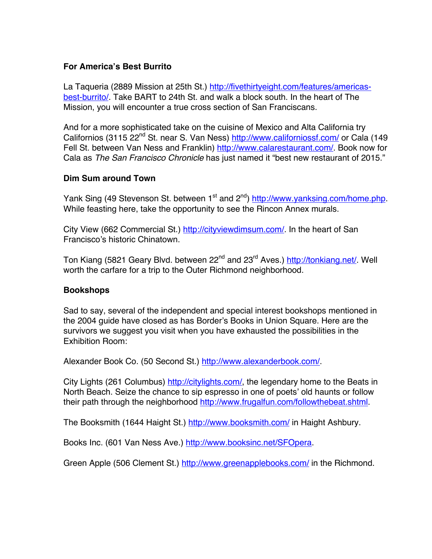# **For America's Best Burrito**

La Taqueria (2889 Mission at 25th St.) http://fivethirtyeight.com/features/americasbest-burrito/. Take BART to 24th St. and walk a block south. In the heart of The Mission, you will encounter a true cross section of San Franciscans.

And for a more sophisticated take on the cuisine of Mexico and Alta California try Californios (3115 22<sup>nd</sup> St. near S. Van Ness) http://www.californiossf.com/ or Cala (149 Fell St. between Van Ness and Franklin) http://www.calarestaurant.com/. Book now for Cala as *The San Francisco Chronicle* has just named it "best new restaurant of 2015."

## **Dim Sum around Town**

Yank Sing (49 Stevenson St. between 1<sup>st</sup> and 2<sup>nd</sup>) http://www.yanksing.com/home.php. While feasting here, take the opportunity to see the Rincon Annex murals.

City View (662 Commercial St.) http://cityviewdimsum.com/. In the heart of San Francisco's historic Chinatown.

Ton Kiang (5821 Geary Blvd. between 22<sup>nd</sup> and 23<sup>rd</sup> Aves.) http://tonkiang.net/. Well worth the carfare for a trip to the Outer Richmond neighborhood.

## **Bookshops**

Sad to say, several of the independent and special interest bookshops mentioned in the 2004 guide have closed as has Border's Books in Union Square. Here are the survivors we suggest you visit when you have exhausted the possibilities in the Exhibition Room:

Alexander Book Co. (50 Second St.) http://www.alexanderbook.com/.

City Lights (261 Columbus) http://citylights.com/, the legendary home to the Beats in North Beach. Seize the chance to sip espresso in one of poets' old haunts or follow their path through the neighborhood http://www.frugalfun.com/followthebeat.shtml.

The Booksmith (1644 Haight St.) http://www.booksmith.com/ in Haight Ashbury.

Books Inc. (601 Van Ness Ave.) http://www.booksinc.net/SFOpera.

Green Apple (506 Clement St.) http://www.greenapplebooks.com/ in the Richmond.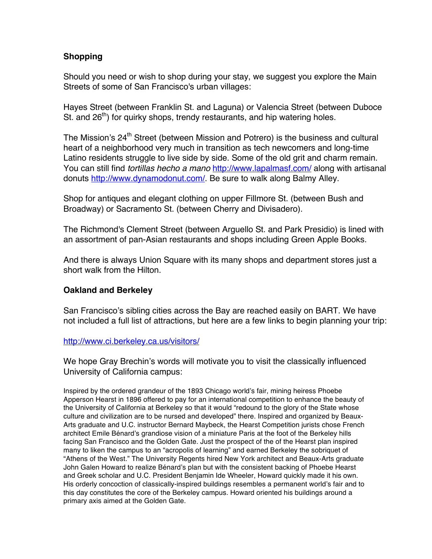# **Shopping**

Should you need or wish to shop during your stay, we suggest you explore the Main Streets of some of San Francisco's urban villages:

Hayes Street (between Franklin St. and Laguna) or Valencia Street (between Duboce St. and  $26<sup>th</sup>$ ) for quirky shops, trendy restaurants, and hip watering holes.

The Mission's 24<sup>th</sup> Street (between Mission and Potrero) is the business and cultural heart of a neighborhood very much in transition as tech newcomers and long-time Latino residents struggle to live side by side. Some of the old grit and charm remain. You can still find *tortillas hecho a mano* http://www.lapalmasf.com/ along with artisanal donuts http://www.dynamodonut.com/. Be sure to walk along Balmy Alley.

Shop for antiques and elegant clothing on upper Fillmore St. (between Bush and Broadway) or Sacramento St. (between Cherry and Divisadero).

The Richmond's Clement Street (between Arguello St. and Park Presidio) is lined with an assortment of pan-Asian restaurants and shops including Green Apple Books.

And there is always Union Square with its many shops and department stores just a short walk from the Hilton.

## **Oakland and Berkeley**

San Francisco's sibling cities across the Bay are reached easily on BART. We have not included a full list of attractions, but here are a few links to begin planning your trip:

## http://www.ci.berkeley.ca.us/visitors/

We hope Gray Brechin's words will motivate you to visit the classically influenced University of California campus:

Inspired by the ordered grandeur of the 1893 Chicago world's fair, mining heiress Phoebe Apperson Hearst in 1896 offered to pay for an international competition to enhance the beauty of the University of California at Berkeley so that it would "redound to the glory of the State whose culture and civilization are to be nursed and developed" there. Inspired and organized by Beaux-Arts graduate and U.C. instructor Bernard Maybeck, the Hearst Competition jurists chose French architect Emile Bénard's grandiose vision of a miniature Paris at the foot of the Berkeley hills facing San Francisco and the Golden Gate. Just the prospect of the of the Hearst plan inspired many to liken the campus to an "acropolis of learning" and earned Berkeley the sobriquet of "Athens of the West." The University Regents hired New York architect and Beaux-Arts graduate John Galen Howard to realize Bénard's plan but with the consistent backing of Phoebe Hearst and Greek scholar and U.C. President Benjamin Ide Wheeler, Howard quickly made it his own. His orderly concoction of classically-inspired buildings resembles a permanent world's fair and to this day constitutes the core of the Berkeley campus. Howard oriented his buildings around a primary axis aimed at the Golden Gate.